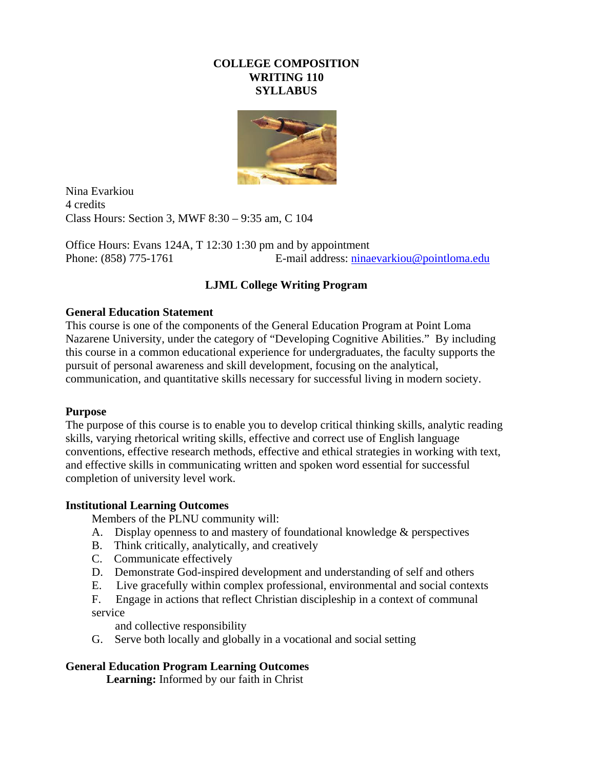## **COLLEGE COMPOSITION WRITING 110 SYLLABUS**



Nina Evarkiou 4 credits Class Hours: Section 3, MWF 8:30 – 9:35 am, C 104

Office Hours: Evans 124A, T 12:30 1:30 pm and by appointment Phone: (858) 775-1761 E-mail address: [ninaevarkiou@pointloma.edu](mailto:ninaevarkiou@pointloma.edu)

# **LJML College Writing Program**

## **General Education Statement**

This course is one of the components of the General Education Program at Point Loma Nazarene University, under the category of "Developing Cognitive Abilities." By including this course in a common educational experience for undergraduates, the faculty supports the pursuit of personal awareness and skill development, focusing on the analytical, communication, and quantitative skills necessary for successful living in modern society.

## **Purpose**

The purpose of this course is to enable you to develop critical thinking skills, analytic reading skills, varying rhetorical writing skills, effective and correct use of English language conventions, effective research methods, effective and ethical strategies in working with text, and effective skills in communicating written and spoken word essential for successful completion of university level work.

## **Institutional Learning Outcomes**

Members of the PLNU community will:

- A. Display openness to and mastery of foundational knowledge & perspectives
- B. Think critically, analytically, and creatively
- C. Communicate effectively
- D. Demonstrate God-inspired development and understanding of self and others
- E. Live gracefully within complex professional, environmental and social contexts

F. Engage in actions that reflect Christian discipleship in a context of communal service

and collective responsibility

G. Serve both locally and globally in a vocational and social setting

## **General Education Program Learning Outcomes**

 **Learning:** Informed by our faith in Christ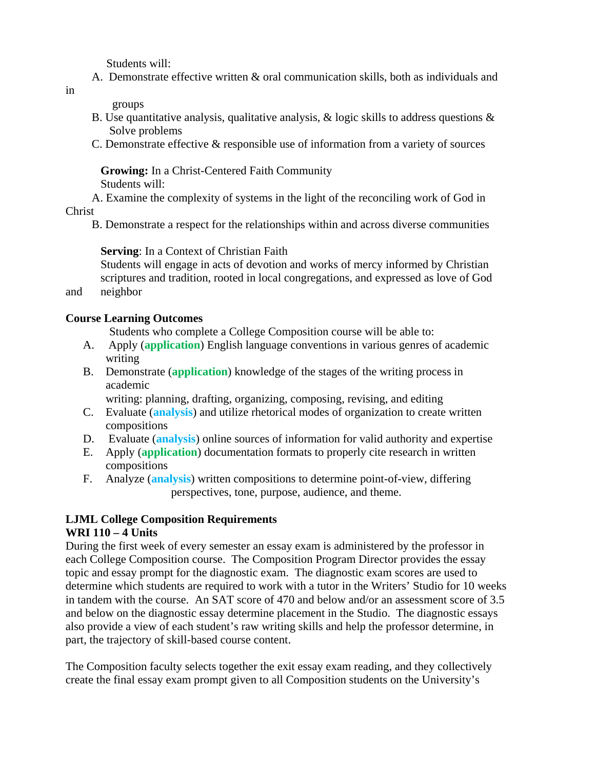Students will:

A. Demonstrate effective written & oral communication skills, both as individuals and

groups

- B. Use quantitative analysis, qualitative analysis,  $\&$  logic skills to address questions  $\&$ Solve problems
- C. Demonstrate effective & responsible use of information from a variety of sources

**Growing:** In a Christ-Centered Faith Community Students will:

 A. Examine the complexity of systems in the light of the reconciling work of God in Christ

B. Demonstrate a respect for the relationships within and across diverse communities

## **Serving**: In a Context of Christian Faith

Students will engage in acts of devotion and works of mercy informed by Christian scriptures and tradition, rooted in local congregations, and expressed as love of God

and neighbor

## **Course Learning Outcomes**

Students who complete a College Composition course will be able to:

- A. Apply (**application**) English language conventions in various genres of academic writing
- B. Demonstrate (**application**) knowledge of the stages of the writing process in academic

writing: planning, drafting, organizing, composing, revising, and editing

- C. Evaluate (**analysis**) and utilize rhetorical modes of organization to create written compositions
- D. Evaluate (**analysis**) online sources of information for valid authority and expertise
- E. Apply (**application**) documentation formats to properly cite research in written compositions
- F. Analyze (**analysis**) written compositions to determine point-of-view, differing perspectives, tone, purpose, audience, and theme.

#### **LJML College Composition Requirements WRI 110 – 4 Units**

During the first week of every semester an essay exam is administered by the professor in each College Composition course. The Composition Program Director provides the essay topic and essay prompt for the diagnostic exam. The diagnostic exam scores are used to determine which students are required to work with a tutor in the Writers' Studio for 10 weeks in tandem with the course. An SAT score of 470 and below and/or an assessment score of 3.5 and below on the diagnostic essay determine placement in the Studio. The diagnostic essays also provide a view of each student's raw writing skills and help the professor determine, in part, the trajectory of skill-based course content.

The Composition faculty selects together the exit essay exam reading, and they collectively create the final essay exam prompt given to all Composition students on the University's

in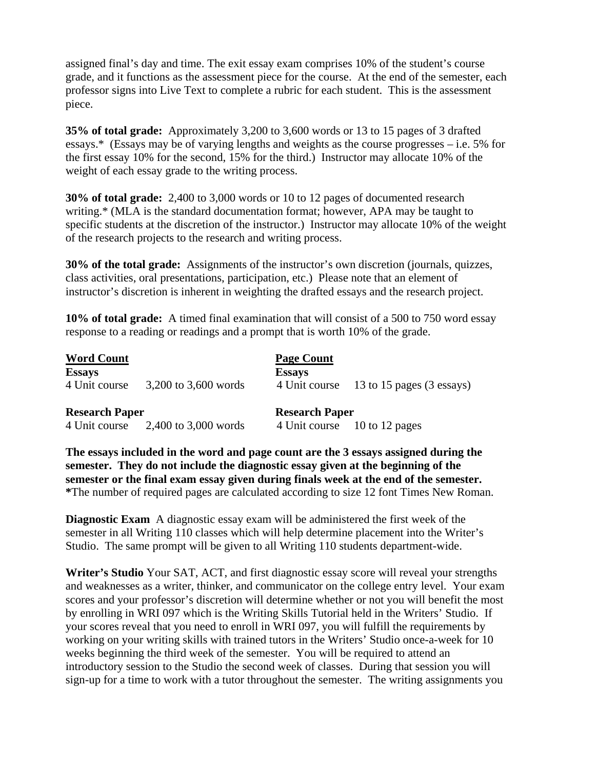assigned final's day and time. The exit essay exam comprises 10% of the student's course grade, and it functions as the assessment piece for the course. At the end of the semester, each professor signs into Live Text to complete a rubric for each student. This is the assessment piece.

**35% of total grade:** Approximately 3,200 to 3,600 words or 13 to 15 pages of 3 drafted essays.\* (Essays may be of varying lengths and weights as the course progresses – i.e. 5% for the first essay 10% for the second, 15% for the third.) Instructor may allocate 10% of the weight of each essay grade to the writing process.

**30% of total grade:** 2,400 to 3,000 words or 10 to 12 pages of documented research writing.\* (MLA is the standard documentation format; however, APA may be taught to specific students at the discretion of the instructor.) Instructor may allocate 10% of the weight of the research projects to the research and writing process.

**30% of the total grade:** Assignments of the instructor's own discretion (journals, quizzes, class activities, oral presentations, participation, etc.) Please note that an element of instructor's discretion is inherent in weighting the drafted essays and the research project.

**10% of total grade:** A timed final examination that will consist of a 500 to 750 word essay response to a reading or readings and a prompt that is worth 10% of the grade.

| <b>Word Count</b><br><b>Essays</b> |                      | <b>Page Count</b><br><b>Essays</b> |                                         |
|------------------------------------|----------------------|------------------------------------|-----------------------------------------|
| 4 Unit course                      | 3,200 to 3,600 words |                                    | 4 Unit course 13 to 15 pages (3 essays) |
| <b>Research Paper</b>              |                      | <b>Research Paper</b>              |                                         |
| 4 Unit course                      | 2,400 to 3,000 words |                                    | 4 Unit course 10 to 12 pages            |

**The essays included in the word and page count are the 3 essays assigned during the semester. They do not include the diagnostic essay given at the beginning of the semester or the final exam essay given during finals week at the end of the semester. \***The number of required pages are calculated according to size 12 font Times New Roman.

**Diagnostic Exam** A diagnostic essay exam will be administered the first week of the semester in all Writing 110 classes which will help determine placement into the Writer's Studio. The same prompt will be given to all Writing 110 students department-wide.

**Writer's Studio** Your SAT, ACT, and first diagnostic essay score will reveal your strengths and weaknesses as a writer, thinker, and communicator on the college entry level. Your exam scores and your professor's discretion will determine whether or not you will benefit the most by enrolling in WRI 097 which is the Writing Skills Tutorial held in the Writers' Studio. If your scores reveal that you need to enroll in WRI 097, you will fulfill the requirements by working on your writing skills with trained tutors in the Writers' Studio once-a-week for 10 weeks beginning the third week of the semester. You will be required to attend an introductory session to the Studio the second week of classes. During that session you will sign-up for a time to work with a tutor throughout the semester. The writing assignments you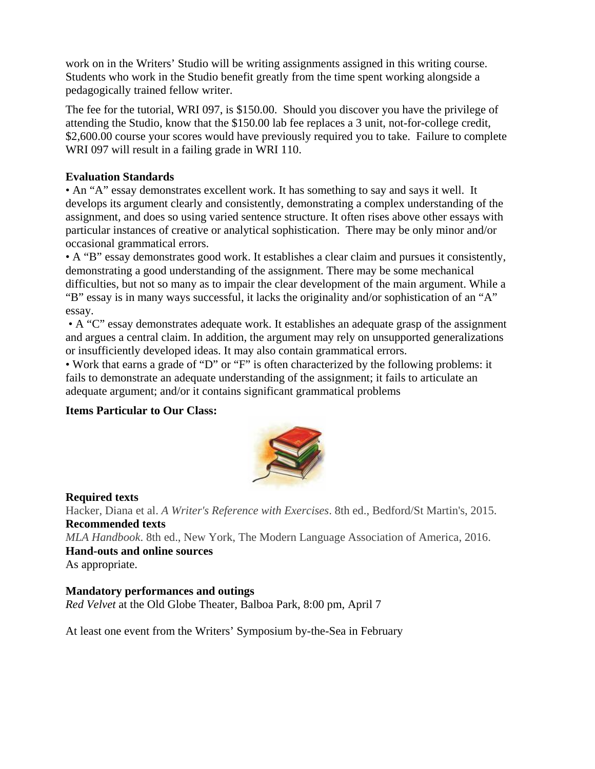work on in the Writers' Studio will be writing assignments assigned in this writing course. Students who work in the Studio benefit greatly from the time spent working alongside a pedagogically trained fellow writer.

The fee for the tutorial, WRI 097, is \$150.00. Should you discover you have the privilege of attending the Studio, know that the \$150.00 lab fee replaces a 3 unit, not-for-college credit, \$2,600.00 course your scores would have previously required you to take. Failure to complete WRI 097 will result in a failing grade in WRI 110.

## **Evaluation Standards**

• An "A" essay demonstrates excellent work. It has something to say and says it well. It develops its argument clearly and consistently, demonstrating a complex understanding of the assignment, and does so using varied sentence structure. It often rises above other essays with particular instances of creative or analytical sophistication. There may be only minor and/or occasional grammatical errors.

• A "B" essay demonstrates good work. It establishes a clear claim and pursues it consistently, demonstrating a good understanding of the assignment. There may be some mechanical difficulties, but not so many as to impair the clear development of the main argument. While a

"B" essay is in many ways successful, it lacks the originality and/or sophistication of an "A" essay.

• A "C" essay demonstrates adequate work. It establishes an adequate grasp of the assignment and argues a central claim. In addition, the argument may rely on unsupported generalizations or insufficiently developed ideas. It may also contain grammatical errors.

• Work that earns a grade of "D" or "F" is often characterized by the following problems: it fails to demonstrate an adequate understanding of the assignment; it fails to articulate an adequate argument; and/or it contains significant grammatical problems

## **Items Particular to Our Class:**



## **Required texts**

Hacker, Diana et al. *A Writer's Reference with Exercises*. 8th ed., Bedford/St Martin's, 2015. **Recommended texts**  *MLA Handbook*. 8th ed., New York, The Modern Language Association of America, 2016.

**Hand-outs and online sources**

As appropriate.

## **Mandatory performances and outings**

*Red Velvet* at the Old Globe Theater, Balboa Park, 8:00 pm, April 7

At least one event from the Writers' Symposium by-the-Sea in February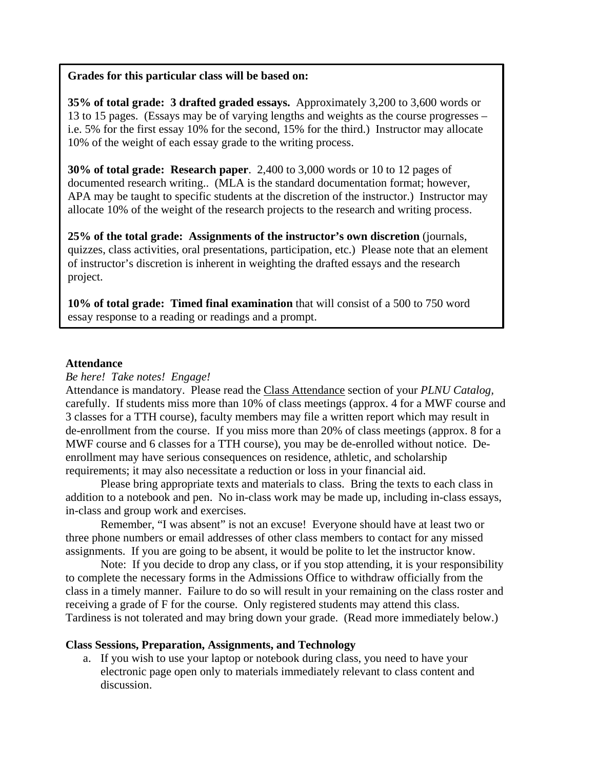#### **Grades for this particular class will be based on:**

**35% of total grade: 3 drafted graded essays.** Approximately 3,200 to 3,600 words or 13 to 15 pages. (Essays may be of varying lengths and weights as the course progresses – i.e. 5% for the first essay 10% for the second, 15% for the third.) Instructor may allocate 10% of the weight of each essay grade to the writing process.

**30% of total grade: Research paper**. 2,400 to 3,000 words or 10 to 12 pages of documented research writing.. (MLA is the standard documentation format; however, APA may be taught to specific students at the discretion of the instructor.) Instructor may allocate 10% of the weight of the research projects to the research and writing process.

**25% of the total grade: Assignments of the instructor's own discretion** (journals, quizzes, class activities, oral presentations, participation, etc.) Please note that an element of instructor's discretion is inherent in weighting the drafted essays and the research project.

**10% of total grade: Timed final examination** that will consist of a 500 to 750 word essay response to a reading or readings and a prompt.

#### **Attendance**

*Be here! Take notes! Engage!*

Attendance is mandatory. Please read the Class Attendance section of your *PLNU Catalog,*  carefully. If students miss more than 10% of class meetings (approx. 4 for a MWF course and 3 classes for a TTH course), faculty members may file a written report which may result in de-enrollment from the course. If you miss more than 20% of class meetings (approx. 8 for a MWF course and 6 classes for a TTH course), you may be de-enrolled without notice. Deenrollment may have serious consequences on residence, athletic, and scholarship requirements; it may also necessitate a reduction or loss in your financial aid.

Please bring appropriate texts and materials to class. Bring the texts to each class in addition to a notebook and pen. No in-class work may be made up, including in-class essays, in-class and group work and exercises.

Remember, "I was absent" is not an excuse! Everyone should have at least two or three phone numbers or email addresses of other class members to contact for any missed assignments. If you are going to be absent, it would be polite to let the instructor know.

Note: If you decide to drop any class, or if you stop attending, it is your responsibility to complete the necessary forms in the Admissions Office to withdraw officially from the class in a timely manner. Failure to do so will result in your remaining on the class roster and receiving a grade of F for the course. Only registered students may attend this class. Tardiness is not tolerated and may bring down your grade. (Read more immediately below.)

## **Class Sessions, Preparation, Assignments, and Technology**

a. If you wish to use your laptop or notebook during class, you need to have your electronic page open only to materials immediately relevant to class content and discussion.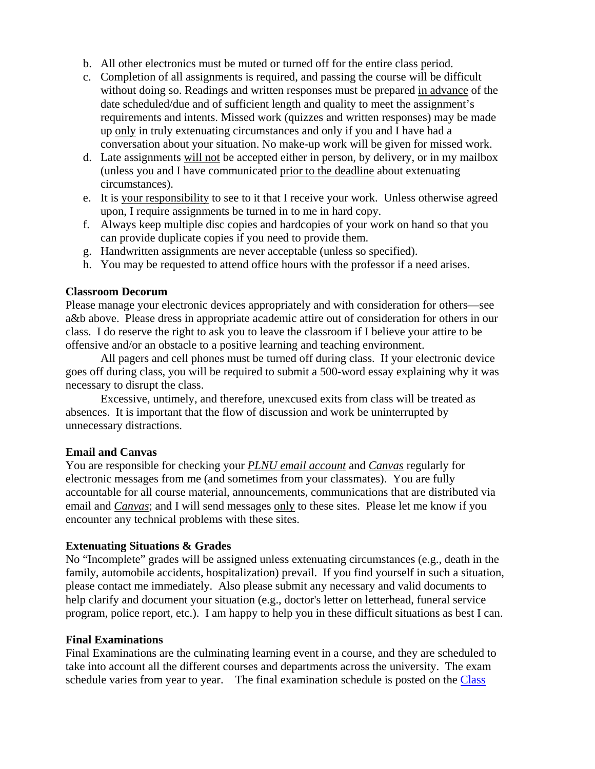- b. All other electronics must be muted or turned off for the entire class period.
- c. Completion of all assignments is required, and passing the course will be difficult without doing so. Readings and written responses must be prepared in advance of the date scheduled/due and of sufficient length and quality to meet the assignment's requirements and intents. Missed work (quizzes and written responses) may be made up only in truly extenuating circumstances and only if you and I have had a conversation about your situation. No make-up work will be given for missed work.
- d. Late assignments will not be accepted either in person, by delivery, or in my mailbox (unless you and I have communicated prior to the deadline about extenuating circumstances).
- e. It is your responsibility to see to it that I receive your work. Unless otherwise agreed upon, I require assignments be turned in to me in hard copy.
- f. Always keep multiple disc copies and hardcopies of your work on hand so that you can provide duplicate copies if you need to provide them.
- g. Handwritten assignments are never acceptable (unless so specified).
- h. You may be requested to attend office hours with the professor if a need arises.

## **Classroom Decorum**

Please manage your electronic devices appropriately and with consideration for others—see a&b above. Please dress in appropriate academic attire out of consideration for others in our class. I do reserve the right to ask you to leave the classroom if I believe your attire to be offensive and/or an obstacle to a positive learning and teaching environment.

All pagers and cell phones must be turned off during class. If your electronic device goes off during class, you will be required to submit a 500-word essay explaining why it was necessary to disrupt the class.

Excessive, untimely, and therefore, unexcused exits from class will be treated as absences. It is important that the flow of discussion and work be uninterrupted by unnecessary distractions.

## **Email and Canvas**

You are responsible for checking your *PLNU email account* and *Canvas* regularly for electronic messages from me (and sometimes from your classmates). You are fully accountable for all course material, announcements, communications that are distributed via email and *Canvas*; and I will send messages only to these sites. Please let me know if you encounter any technical problems with these sites.

## **Extenuating Situations & Grades**

No "Incomplete" grades will be assigned unless extenuating circumstances (e.g., death in the family, automobile accidents, hospitalization) prevail. If you find yourself in such a situation, please contact me immediately. Also please submit any necessary and valid documents to help clarify and document your situation (e.g., doctor's letter on letterhead, funeral service program, police report, etc.). I am happy to help you in these difficult situations as best I can.

## **Final Examinations**

Final Examinations are the culminating learning event in a course, and they are scheduled to take into account all the different courses and departments across the university. The exam schedule varies from year to year. The final examination schedule is posted on the Class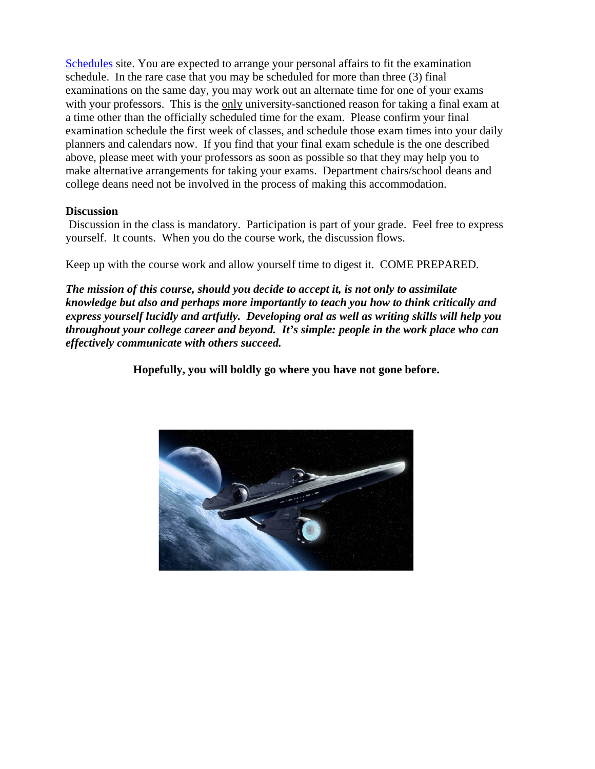[Schedules](http://www.pointloma.edu/experience/academics/class-schedules) site. You are expected to arrange your personal affairs to fit the examination schedule. In the rare case that you may be scheduled for more than three (3) final examinations on the same day, you may work out an alternate time for one of your exams with your professors. This is the only university-sanctioned reason for taking a final exam at a time other than the officially scheduled time for the exam. Please confirm your final examination schedule the first week of classes, and schedule those exam times into your daily planners and calendars now. If you find that your final exam schedule is the one described above, please meet with your professors as soon as possible so that they may help you to make alternative arrangements for taking your exams. Department chairs/school deans and college deans need not be involved in the process of making this accommodation.

## **Discussion**

Discussion in the class is mandatory. Participation is part of your grade. Feel free to express yourself. It counts. When you do the course work, the discussion flows.

Keep up with the course work and allow yourself time to digest it. COME PREPARED.

*The mission of this course, should you decide to accept it, is not only to assimilate knowledge but also and perhaps more importantly to teach you how to think critically and express yourself lucidly and artfully. Developing oral as well as writing skills will help you throughout your college career and beyond. It's simple: people in the work place who can effectively communicate with others succeed.*

**Hopefully, you will boldly go where you have not gone before.**

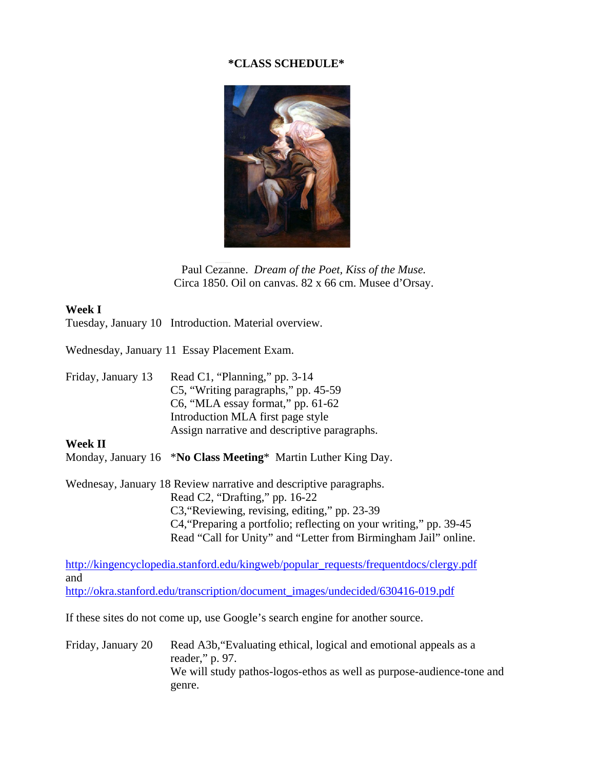## **\*CLASS SCHEDULE\***



Paul Cezanne. *Dream of the Poet, Kiss of the Muse.* Circa 1850. Oil on canvas. 82 x 66 cm. Musee d'Orsay.

## **Week I**

Tuesday, January 10 Introduction. Material overview.

Wednesday, January 11 Essay Placement Exam.

Friday, January 13 Read C1, "Planning," pp. 3-14 C5, "Writing paragraphs," pp. 45-59 C6, "MLA essay format," pp. 61-62 Introduction MLA first page style Assign narrative and descriptive paragraphs.

## **Week II**

Monday, January 16 \***No Class Meeting**\* Martin Luther King Day.

Wednesay, January 18 Review narrative and descriptive paragraphs. Read C2, "Drafting," pp. 16-22 C3,"Reviewing, revising, editing," pp. 23-39 C4,"Preparing a portfolio; reflecting on your writing," pp. 39-45 Read "Call for Unity" and "Letter from Birmingham Jail" online.

[http://kingencyclopedia.stanford.edu/kingweb/popular\\_requests/frequentdocs/clergy.pdf](http://kingencyclopedia.stanford.edu/kingweb/popular_requests/frequentdocs/clergy.pdf) and [http://okra.stanford.edu/transcription/document\\_images/undecided/630416-019.pdf](http://okra.stanford.edu/transcription/document_images/undecided/630416-019.pdf)

If these sites do not come up, use Google's search engine for another source.

Friday, January 20 Read A3b, "Evaluating ethical, logical and emotional appeals as a reader," p. 97. We will study pathos-logos-ethos as well as purpose-audience-tone and genre.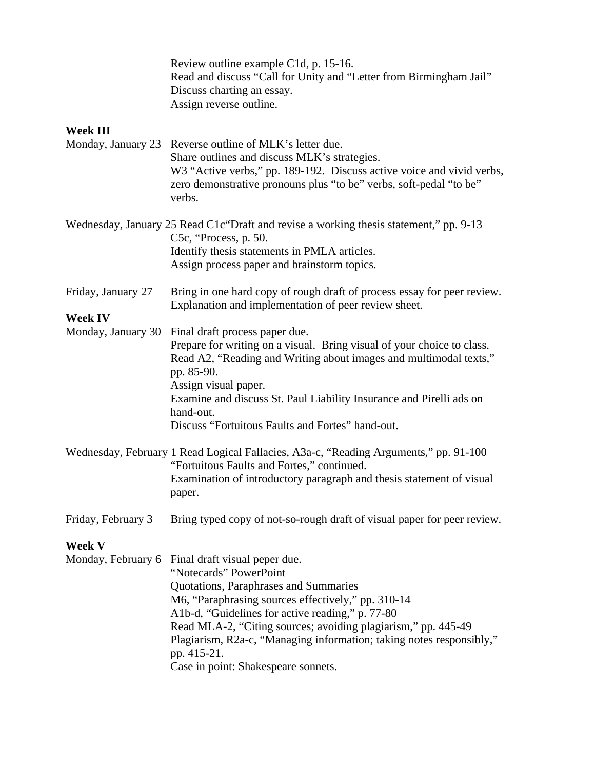|                    | Review outline example C1d, p. 15-16.<br>Read and discuss "Call for Unity and "Letter from Birmingham Jail"<br>Discuss charting an essay.<br>Assign reverse outline.                                                                                                                                                                                                                                      |  |
|--------------------|-----------------------------------------------------------------------------------------------------------------------------------------------------------------------------------------------------------------------------------------------------------------------------------------------------------------------------------------------------------------------------------------------------------|--|
| <b>Week III</b>    |                                                                                                                                                                                                                                                                                                                                                                                                           |  |
| Monday, January 23 | Reverse outline of MLK's letter due.<br>Share outlines and discuss MLK's strategies.<br>W3 "Active verbs," pp. 189-192. Discuss active voice and vivid verbs,<br>zero demonstrative pronouns plus "to be" verbs, soft-pedal "to be"<br>verbs.                                                                                                                                                             |  |
|                    | Wednesday, January 25 Read C1c "Draft and revise a working thesis statement," pp. 9-13<br>C5c, "Process, p. 50.<br>Identify thesis statements in PMLA articles.<br>Assign process paper and brainstorm topics.                                                                                                                                                                                            |  |
| Friday, January 27 | Bring in one hard copy of rough draft of process essay for peer review.<br>Explanation and implementation of peer review sheet.                                                                                                                                                                                                                                                                           |  |
| <b>Week IV</b>     |                                                                                                                                                                                                                                                                                                                                                                                                           |  |
| Monday, January 30 | Final draft process paper due.<br>Prepare for writing on a visual. Bring visual of your choice to class.<br>Read A2, "Reading and Writing about images and multimodal texts,"<br>pp. 85-90.<br>Assign visual paper.<br>Examine and discuss St. Paul Liability Insurance and Pirelli ads on<br>hand-out.                                                                                                   |  |
|                    | Discuss "Fortuitous Faults and Fortes" hand-out.                                                                                                                                                                                                                                                                                                                                                          |  |
|                    | Wednesday, February 1 Read Logical Fallacies, A3a-c, "Reading Arguments," pp. 91-100<br>"Fortuitous Faults and Fortes," continued.<br>Examination of introductory paragraph and thesis statement of visual<br>paper.                                                                                                                                                                                      |  |
| Friday, February 3 | Bring typed copy of not-so-rough draft of visual paper for peer review.                                                                                                                                                                                                                                                                                                                                   |  |
| <b>Week V</b>      |                                                                                                                                                                                                                                                                                                                                                                                                           |  |
| Monday, February 6 | Final draft visual peper due.<br>"Notecards" PowerPoint<br>Quotations, Paraphrases and Summaries<br>M6, "Paraphrasing sources effectively," pp. 310-14<br>A1b-d, "Guidelines for active reading," p. 77-80<br>Read MLA-2, "Citing sources; avoiding plagiarism," pp. 445-49<br>Plagiarism, R2a-c, "Managing information; taking notes responsibly,"<br>pp. 415-21.<br>Case in point: Shakespeare sonnets. |  |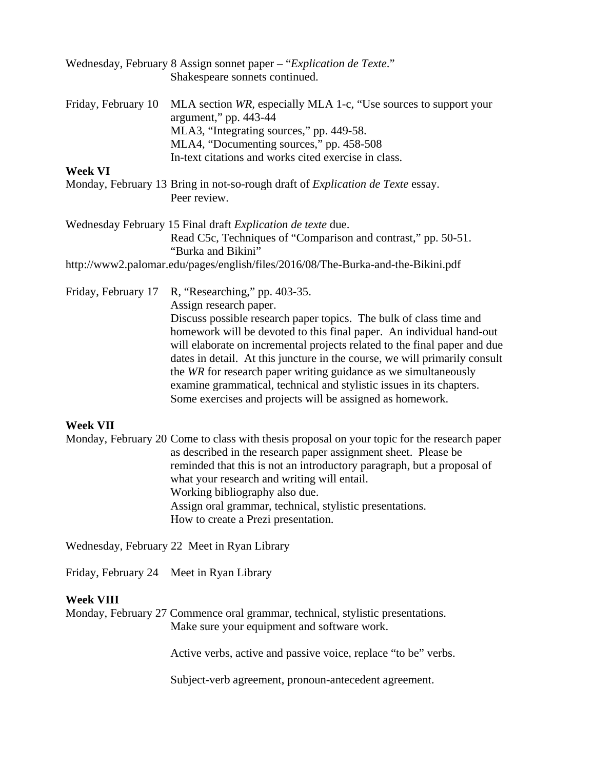|                                                             | Wednesday, February 8 Assign sonnet paper - "Explication de Texte."<br>Shakespeare sonnets continued.                                                   |
|-------------------------------------------------------------|---------------------------------------------------------------------------------------------------------------------------------------------------------|
| Friday, February 10                                         | MLA section WR, especially MLA 1-c, "Use sources to support your<br>argument," pp. 443-44                                                               |
|                                                             | MLA3, "Integrating sources," pp. 449-58.                                                                                                                |
|                                                             | MLA4, "Documenting sources," pp. 458-508                                                                                                                |
|                                                             | In-text citations and works cited exercise in class.                                                                                                    |
| Week VI                                                     |                                                                                                                                                         |
|                                                             | Monday, February 13 Bring in not-so-rough draft of <i>Explication de Texte</i> essay.<br>Peer review.                                                   |
| Wednesday February 15 Final draft Explication de texte due. |                                                                                                                                                         |
|                                                             | Read C5c, Techniques of "Comparison and contrast," pp. 50-51.<br>"Burka and Bikini"                                                                     |
|                                                             | http://www2.palomar.edu/pages/english/files/2016/08/The-Burka-and-the-Bikini.pdf                                                                        |
| Friday, February 17                                         | R, "Researching," pp. 403-35.                                                                                                                           |
|                                                             | Assign research paper.                                                                                                                                  |
|                                                             | Discuss possible research paper topics. The bulk of class time and<br>homework will be devoted to this final paper. An individual hand-out              |
|                                                             | will elaborate on incremental projects related to the final paper and due<br>dates in detail. At this juncture in the course, we will primarily consult |
|                                                             | the WR for research paper writing guidance as we simultaneously                                                                                         |
|                                                             | examine grammatical, technical and stylistic issues in its chapters.                                                                                    |

Some exercises and projects will be assigned as homework.

## **Week VII**

Monday, February 20 Come to class with thesis proposal on your topic for the research paper as described in the research paper assignment sheet. Please be reminded that this is not an introductory paragraph, but a proposal of what your research and writing will entail. Working bibliography also due. Assign oral grammar, technical, stylistic presentations. How to create a Prezi presentation.

Wednesday, February 22 Meet in Ryan Library

Friday, February 24 Meet in Ryan Library

## **Week VIII**

Monday, February 27 Commence oral grammar, technical, stylistic presentations. Make sure your equipment and software work.

Active verbs, active and passive voice, replace "to be" verbs.

Subject-verb agreement, pronoun-antecedent agreement.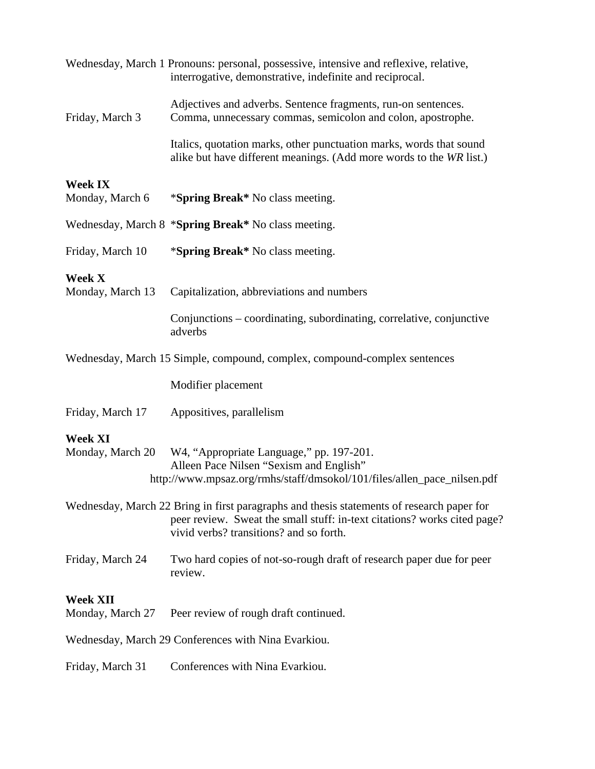|                                     | Wednesday, March 1 Pronouns: personal, possessive, intensive and reflexive, relative,<br>interrogative, demonstrative, indefinite and reciprocal.                                                                |
|-------------------------------------|------------------------------------------------------------------------------------------------------------------------------------------------------------------------------------------------------------------|
| Friday, March 3                     | Adjectives and adverbs. Sentence fragments, run-on sentences.<br>Comma, unnecessary commas, semicolon and colon, apostrophe.                                                                                     |
|                                     | Italics, quotation marks, other punctuation marks, words that sound<br>alike but have different meanings. (Add more words to the WR list.)                                                                       |
| <b>Week IX</b><br>Monday, March 6   | * <b>Spring Break</b> * No class meeting.                                                                                                                                                                        |
|                                     | Wednesday, March 8 *Spring Break* No class meeting.                                                                                                                                                              |
| Friday, March 10                    | * <b>Spring Break</b> * No class meeting.                                                                                                                                                                        |
| Week X<br>Monday, March 13          | Capitalization, abbreviations and numbers                                                                                                                                                                        |
|                                     | Conjunctions – coordinating, subordinating, correlative, conjunctive<br>adverbs                                                                                                                                  |
|                                     | Wednesday, March 15 Simple, compound, complex, compound-complex sentences                                                                                                                                        |
|                                     | Modifier placement                                                                                                                                                                                               |
| Friday, March 17                    | Appositives, parallelism                                                                                                                                                                                         |
| <b>Week XI</b><br>Monday, March 20  | W4, "Appropriate Language," pp. 197-201.<br>Alleen Pace Nilsen "Sexism and English"<br>http://www.mpsaz.org/rmhs/staff/dmsokol/101/files/allen_pace_nilsen.pdf                                                   |
|                                     | Wednesday, March 22 Bring in first paragraphs and thesis statements of research paper for<br>peer review. Sweat the small stuff: in-text citations? works cited page?<br>vivid verbs? transitions? and so forth. |
| Friday, March 24                    | Two hard copies of not-so-rough draft of research paper due for peer<br>review.                                                                                                                                  |
| <b>Week XII</b><br>Monday, March 27 | Peer review of rough draft continued.                                                                                                                                                                            |
|                                     | Wednesday, March 29 Conferences with Nina Evarkiou.                                                                                                                                                              |
| Friday, March 31                    | Conferences with Nina Evarkiou.                                                                                                                                                                                  |